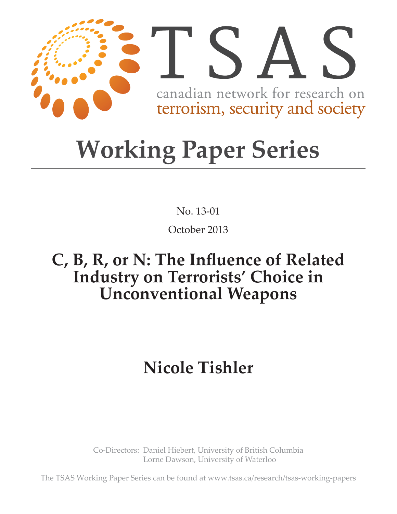

# **Working Paper Series**

No. 13-01

October 2013

# C, B, R, or N: The Influence of Related **Industry on Terrorists' Choice in Unconventional Weapons**

# **Nicole Tishler**

Co-Directors: Daniel Hiebert, University of British Columbia Lorne Dawson, University of Waterloo

The TSAS Working Paper Series can be found at www.tsas.ca/research/tsas-working-papers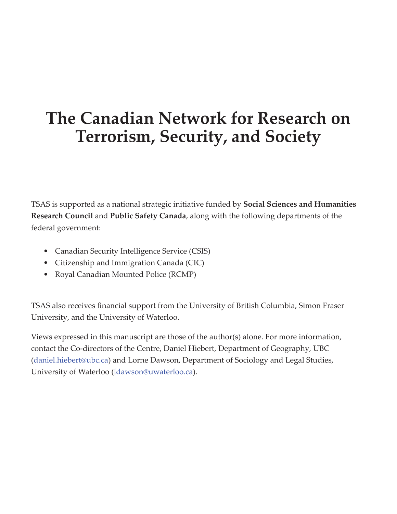# **The Canadian Network for Research on Terrorism, Security, and Society**

TSAS is supported as a national strategic initiative funded by **Social Sciences and Humanities Research Council** and **Public Safety Canada**, along with the following departments of the federal government:

- Canadian Security Intelligence Service (CSIS)
- Citizenship and Immigration Canada (CIC)
- Royal Canadian Mounted Police (RCMP)

TSAS also receives financial support from the University of British Columbia, Simon Fraser University, and the University of Waterloo.

Views expressed in this manuscript are those of the author(s) alone. For more information, contact the Co-directors of the Centre, Daniel Hiebert, Department of Geography, UBC (daniel.hiebert@ubc.ca) and Lorne Dawson, Department of Sociology and Legal Studies, University of Waterloo (ldawson@uwaterloo.ca).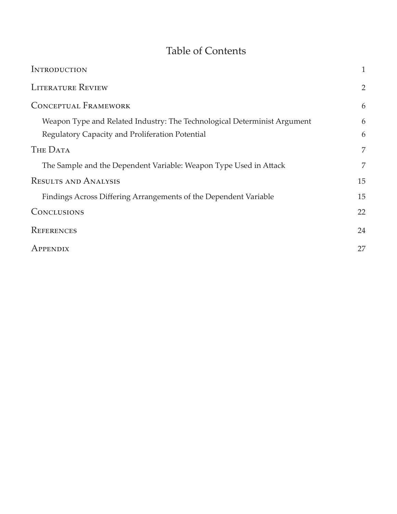# Table of Contents

| <b>INTRODUCTION</b>                                                      | 1              |
|--------------------------------------------------------------------------|----------------|
| <b>LITERATURE REVIEW</b>                                                 | $\overline{2}$ |
| <b>CONCEPTUAL FRAMEWORK</b>                                              | 6              |
| Weapon Type and Related Industry: The Technological Determinist Argument | 6              |
| Regulatory Capacity and Proliferation Potential                          | 6              |
| THE DATA                                                                 | 7              |
| The Sample and the Dependent Variable: Weapon Type Used in Attack        | 7              |
| <b>RESULTS AND ANALYSIS</b>                                              | 15             |
| Findings Across Differing Arrangements of the Dependent Variable         | 15             |
| <b>CONCLUSIONS</b>                                                       | 22             |
| REFERENCES                                                               | 24             |
| APPENDIX                                                                 | 27             |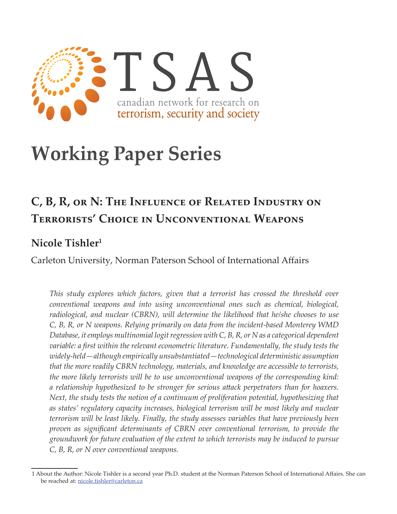

# **Working Paper Series**

# **C, B, R, or N: The Influence of Related Industry on Terrorists' Choice in Unconventional Weapons**

# **Nicole Tishler1**

Carleton University, Norman Paterson School of International Affairs

*This study explores which factors, given that a terrorist has crossed the threshold over conventional weapons and into using unconventional ones such as chemical, biological, radiological, and nuclear (CBRN), will determine the likelihood that he/she chooses to use C, B, R, or N weapons. Relying primarily on data from the incident-based Monterey WMD Database, it employs multinomial logit regression with C, B, R, or N as a categorical dependent variable: a first within the relevant econometric literature. Fundamentally, the study tests the widely-held—although empirically unsubstantiated—technological deterministic assumption that the more readily CBRN technology, materials, and knowledge are accessible to terrorists, the more likely terrorists will be to use unconventional weapons of the corresponding kind: a relationship hypothesized to be stronger for serious attack perpetrators than for hoaxers. Next, the study tests the notion of a continuum of proliferation potential, hypothesizing that as states' regulatory capacity increases, biological terrorism will be most likely and nuclear terrorism will be least likely. Finally, the study assesses variables that have previously been proven as significant determinants of CBRN over conventional terrorism, to provide the groundwork for future evaluation of the extent to which terrorists may be induced to pursue C, B, R, or N over conventional weapons.* 

<sup>1</sup> About the Author: Nicole Tishler is a second year Ph.D. student at the Norman Paterson School of International Affairs. She can be reached at: nicole.tishler@carleton.ca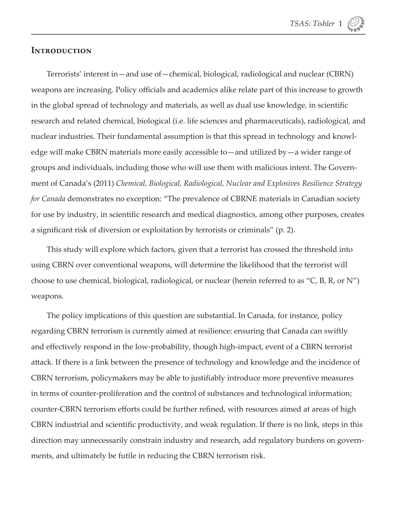

#### **Introduction**

Terrorists' interest in—and use of—chemical, biological, radiological and nuclear (CBRN) weapons are increasing. Policy officials and academics alike relate part of this increase to growth in the global spread of technology and materials, as well as dual use knowledge, in scientific research and related chemical, biological (i.e. life sciences and pharmaceuticals), radiological, and nuclear industries. Their fundamental assumption is that this spread in technology and knowledge will make CBRN materials more easily accessible to—and utilized by—a wider range of groups and individuals, including those who will use them with malicious intent. The Government of Canada's (2011) *Chemical, Biological, Radiological, Nuclear and Explosives Resilience Strategy for Canada* demonstrates no exception: "The prevalence of CBRNE materials in Canadian society for use by industry, in scientific research and medical diagnostics, among other purposes, creates a significant risk of diversion or exploitation by terrorists or criminals" (p. 2).

This study will explore which factors, given that a terrorist has crossed the threshold into using CBRN over conventional weapons, will determine the likelihood that the terrorist will choose to use chemical, biological, radiological, or nuclear (herein referred to as "C, B, R, or N") weapons.

The policy implications of this question are substantial. In Canada, for instance, policy regarding CBRN terrorism is currently aimed at resilience: ensuring that Canada can swiftly and effectively respond in the low-probability, though high-impact, event of a CBRN terrorist attack. If there is a link between the presence of technology and knowledge and the incidence of CBRN terrorism, policymakers may be able to justifiably introduce more preventive measures in terms of counter-proliferation and the control of substances and technological information; counter-CBRN terrorism efforts could be further refined, with resources aimed at areas of high CBRN industrial and scientific productivity, and weak regulation. If there is no link, steps in this direction may unnecessarily constrain industry and research, add regulatory burdens on governments, and ultimately be futile in reducing the CBRN terrorism risk.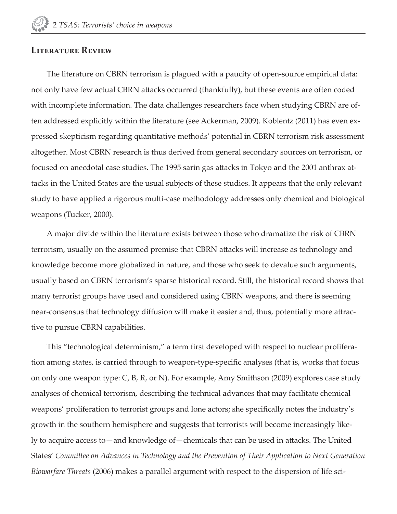#### **Literature Review**

The literature on CBRN terrorism is plagued with a paucity of open-source empirical data: not only have few actual CBRN attacks occurred (thankfully), but these events are often coded with incomplete information. The data challenges researchers face when studying CBRN are often addressed explicitly within the literature (see Ackerman, 2009). Koblentz (2011) has even expressed skepticism regarding quantitative methods' potential in CBRN terrorism risk assessment altogether. Most CBRN research is thus derived from general secondary sources on terrorism, or focused on anecdotal case studies. The 1995 sarin gas attacks in Tokyo and the 2001 anthrax attacks in the United States are the usual subjects of these studies. It appears that the only relevant study to have applied a rigorous multi-case methodology addresses only chemical and biological weapons (Tucker, 2000).

A major divide within the literature exists between those who dramatize the risk of CBRN terrorism, usually on the assumed premise that CBRN attacks will increase as technology and knowledge become more globalized in nature, and those who seek to devalue such arguments, usually based on CBRN terrorism's sparse historical record. Still, the historical record shows that many terrorist groups have used and considered using CBRN weapons, and there is seeming near-consensus that technology diffusion will make it easier and, thus, potentially more attractive to pursue CBRN capabilities.

This "technological determinism," a term first developed with respect to nuclear proliferation among states, is carried through to weapon-type-specific analyses (that is, works that focus on only one weapon type: C, B, R, or N). For example, Amy Smithson (2009) explores case study analyses of chemical terrorism, describing the technical advances that may facilitate chemical weapons' proliferation to terrorist groups and lone actors; she specifically notes the industry's growth in the southern hemisphere and suggests that terrorists will become increasingly likely to acquire access to—and knowledge of—chemicals that can be used in attacks. The United States' Committee on Advances in Technology and the Prevention of Their Application to Next Generation *Biowarfare Threats* (2006) makes a parallel argument with respect to the dispersion of life sci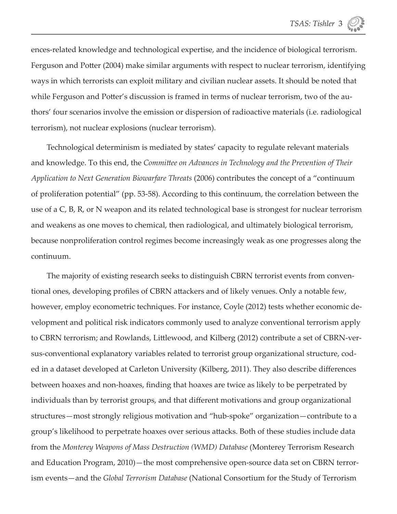ences-related knowledge and technological expertise, and the incidence of biological terrorism. Ferguson and Potter (2004) make similar arguments with respect to nuclear terrorism, identifying ways in which terrorists can exploit military and civilian nuclear assets. It should be noted that while Ferguson and Potter's discussion is framed in terms of nuclear terrorism, two of the authors' four scenarios involve the emission or dispersion of radioactive materials (i.e. radiological terrorism), not nuclear explosions (nuclear terrorism).

Technological determinism is mediated by states' capacity to regulate relevant materials and knowledge. To this end, the *Committ ee on Advances in Technology and the Prevention of Their Application to Next Generation Biowarfare Threats* (2006) contributes the concept of a "continuum of proliferation potential" (pp. 53-58). According to this continuum, the correlation between the use of a C, B, R, or N weapon and its related technological base is strongest for nuclear terrorism and weakens as one moves to chemical, then radiological, and ultimately biological terrorism, because nonproliferation control regimes become increasingly weak as one progresses along the continuum.

The majority of existing research seeks to distinguish CBRN terrorist events from conventional ones, developing profiles of CBRN attackers and of likely venues. Only a notable few, however, employ econometric techniques. For instance, Coyle (2012) tests whether economic development and political risk indicators commonly used to analyze conventional terrorism apply to CBRN terrorism; and Rowlands, Littlewood, and Kilberg (2012) contribute a set of CBRN-versus-conventional explanatory variables related to terrorist group organizational structure, coded in a dataset developed at Carleton University (Kilberg, 2011). They also describe differences between hoaxes and non-hoaxes, finding that hoaxes are twice as likely to be perpetrated by individuals than by terrorist groups, and that different motivations and group organizational structures—most strongly religious motivation and "hub-spoke" organization—contribute to a group's likelihood to perpetrate hoaxes over serious attacks. Both of these studies include data from the *Monterey Weapons of Mass Destruction (WMD) Database* (Monterey Terrorism Research and Education Program, 2010)—the most comprehensive open-source data set on CBRN terrorism events—and the *Global Terrorism Database* (National Consortium for the Study of Terrorism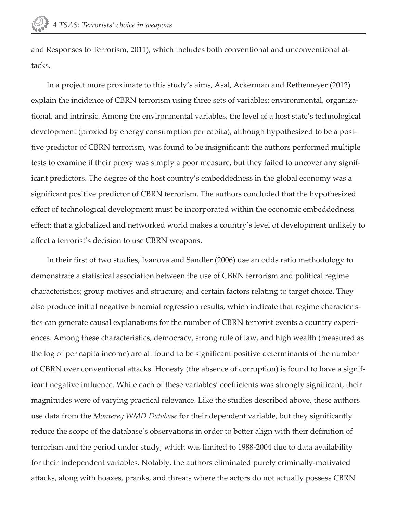and Responses to Terrorism, 2011), which includes both conventional and unconventional attacks.

In a project more proximate to this study's aims, Asal, Ackerman and Rethemeyer (2012) explain the incidence of CBRN terrorism using three sets of variables: environmental, organizational, and intrinsic. Among the environmental variables, the level of a host state's technological development (proxied by energy consumption per capita), although hypothesized to be a positive predictor of CBRN terrorism, was found to be insignificant; the authors performed multiple tests to examine if their proxy was simply a poor measure, but they failed to uncover any significant predictors. The degree of the host country's embeddedness in the global economy was a significant positive predictor of CBRN terrorism. The authors concluded that the hypothesized effect of technological development must be incorporated within the economic embeddedness effect; that a globalized and networked world makes a country's level of development unlikely to affect a terrorist's decision to use CBRN weapons.

In their first of two studies, Ivanova and Sandler (2006) use an odds ratio methodology to demonstrate a statistical association between the use of CBRN terrorism and political regime characteristics; group motives and structure; and certain factors relating to target choice. They also produce initial negative binomial regression results, which indicate that regime characteristics can generate causal explanations for the number of CBRN terrorist events a country experiences. Among these characteristics, democracy, strong rule of law, and high wealth (measured as the log of per capita income) are all found to be significant positive determinants of the number of CBRN over conventional attacks. Honesty (the absence of corruption) is found to have a significant negative influence. While each of these variables' coefficients was strongly significant, their magnitudes were of varying practical relevance. Like the studies described above, these authors use data from the *Monterey WMD Database* for their dependent variable, but they significantly reduce the scope of the database's observations in order to better align with their definition of terrorism and the period under study, which was limited to 1988-2004 due to data availability for their independent variables. Notably, the authors eliminated purely criminally-motivated attacks, along with hoaxes, pranks, and threats where the actors do not actually possess CBRN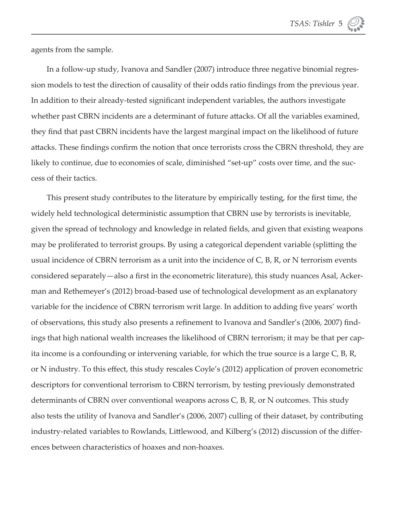

agents from the sample.

In a follow-up study, Ivanova and Sandler (2007) introduce three negative binomial regression models to test the direction of causality of their odds ratio findings from the previous year. In addition to their already-tested significant independent variables, the authors investigate whether past CBRN incidents are a determinant of future attacks. Of all the variables examined, they find that past CBRN incidents have the largest marginal impact on the likelihood of future attacks. These findings confirm the notion that once terrorists cross the CBRN threshold, they are likely to continue, due to economies of scale, diminished "set-up" costs over time, and the success of their tactics.

This present study contributes to the literature by empirically testing, for the first time, the widely held technological deterministic assumption that CBRN use by terrorists is inevitable, given the spread of technology and knowledge in related fields, and given that existing weapons may be proliferated to terrorist groups. By using a categorical dependent variable (splitting the usual incidence of CBRN terrorism as a unit into the incidence of C, B, R, or N terrorism events considered separately—also a first in the econometric literature), this study nuances Asal, Ackerman and Rethemeyer's (2012) broad-based use of technological development as an explanatory variable for the incidence of CBRN terrorism writ large. In addition to adding five years' worth of observations, this study also presents a refinement to Ivanova and Sandler's (2006, 2007) findings that high national wealth increases the likelihood of CBRN terrorism; it may be that per capita income is a confounding or intervening variable, for which the true source is a large C, B, R, or N industry. To this effect, this study rescales Coyle's (2012) application of proven econometric descriptors for conventional terrorism to CBRN terrorism, by testing previously demonstrated determinants of CBRN over conventional weapons across C, B, R, or N outcomes. This study also tests the utility of Ivanova and Sandler's (2006, 2007) culling of their dataset, by contributing industry-related variables to Rowlands, Littlewood, and Kilberg's (2012) discussion of the differences between characteristics of hoaxes and non-hoaxes.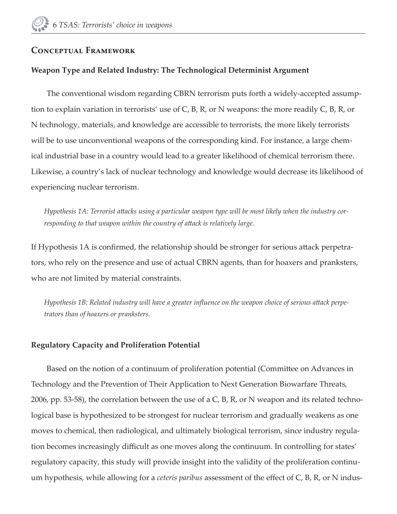#### **Conceptual Framework**

#### **Weapon Type and Related Industry: The Technological Determinist Argument**

The conventional wisdom regarding CBRN terrorism puts forth a widely-accepted assumption to explain variation in terrorists' use of C, B, R, or N weapons: the more readily C, B, R, or N technology, materials, and knowledge are accessible to terrorists, the more likely terrorists will be to use unconventional weapons of the corresponding kind. For instance, a large chemical industrial base in a country would lead to a greater likelihood of chemical terrorism there. Likewise, a country's lack of nuclear technology and knowledge would decrease its likelihood of experiencing nuclear terrorism.

Hypothesis 1A: Terrorist attacks using a particular weapon type will be most likely when the industry cor*responding to that weapon within the country of attack is relatively large.* 

If Hypothesis 1A is confirmed, the relationship should be stronger for serious attack perpetrators, who rely on the presence and use of actual CBRN agents, than for hoaxers and pranksters, who are not limited by material constraints.

*Hypothesis 1B: Related industry will have a greater influence on the weapon choice of serious attack perpetrators than of hoaxers or pranksters.*

#### **Regulatory Capacity and Proliferation Potential**

Based on the notion of a continuum of proliferation potential (Committee on Advances in Technology and the Prevention of Their Application to Next Generation Biowarfare Threats, 2006, pp. 53-58), the correlation between the use of a C, B, R, or N weapon and its related technological base is hypothesized to be strongest for nuclear terrorism and gradually weakens as one moves to chemical, then radiological, and ultimately biological terrorism, since industry regulation becomes increasingly difficult as one moves along the continuum. In controlling for states' regulatory capacity, this study will provide insight into the validity of the proliferation continuum hypothesis, while allowing for a *ceteris paribus* assessment of the effect of C, B, R, or N indus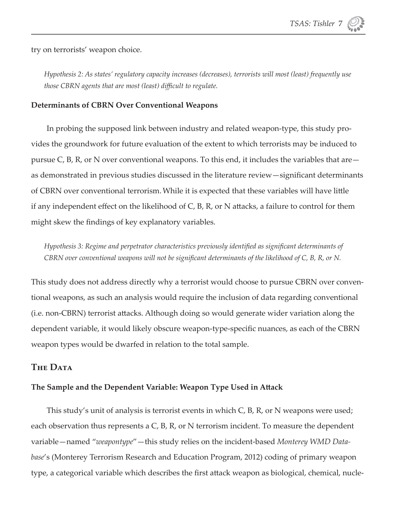try on terrorists' weapon choice.

*Hypothesis 2: As states' regulatory capacity increases (decreases), terrorists will most (least) frequently use those CBRN agents that are most (least) difficult to regulate.* 

#### **Determinants of CBRN Over Conventional Weapons**

In probing the supposed link between industry and related weapon-type, this study provides the groundwork for future evaluation of the extent to which terrorists may be induced to pursue C, B, R, or N over conventional weapons. To this end, it includes the variables that are as demonstrated in previous studies discussed in the literature review—significant determinants of CBRN over conventional terrorism. While it is expected that these variables will have little if any independent effect on the likelihood of  $C$ ,  $B$ ,  $R$ , or N attacks, a failure to control for them might skew the findings of key explanatory variables.

*Hypothesis 3: Regime and perpetrator characteristics previously identified as significant determinants of CBRN over conventional weapons will not be significant determinants of the likelihood of C, B, R, or N.* 

This study does not address directly why a terrorist would choose to pursue CBRN over conventional weapons, as such an analysis would require the inclusion of data regarding conventional (i.e. non-CBRN) terrorist attacks. Although doing so would generate wider variation along the dependent variable, it would likely obscure weapon-type-specific nuances, as each of the CBRN weapon types would be dwarfed in relation to the total sample.

#### **The Data**

#### **The Sample and the Dependent Variable: Weapon Type Used in Att ack**

This study's unit of analysis is terrorist events in which C, B, R, or N weapons were used; each observation thus represents a C, B, R, or N terrorism incident. To measure the dependent variable—named "*weapontype*"—this study relies on the incident-based *Monterey WMD Database*'s (Monterey Terrorism Research and Education Program, 2012) coding of primary weapon type, a categorical variable which describes the first attack weapon as biological, chemical, nucle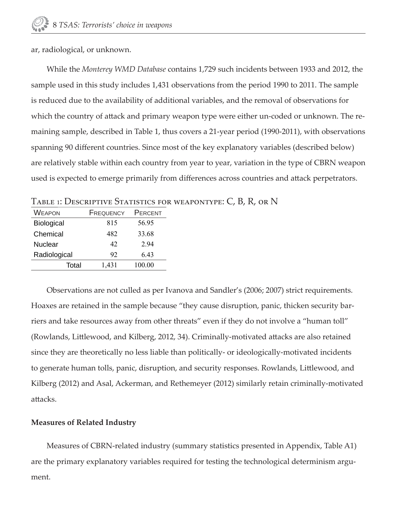ar, radiological, or unknown.

While the *Monterey WMD Database* contains 1,729 such incidents between 1933 and 2012, the sample used in this study includes 1,431 observations from the period 1990 to 2011. The sample is reduced due to the availability of additional variables, and the removal of observations for which the country of attack and primary weapon type were either un-coded or unknown. The remaining sample, described in Table 1, thus covers a 21-year period (1990-2011), with observations spanning 90 different countries. Since most of the key explanatory variables (described below) are relatively stable within each country from year to year, variation in the type of CBRN weapon used is expected to emerge primarily from differences across countries and attack perpetrators.

| WEAPON            | FREQUENCY | PERCENT |
|-------------------|-----------|---------|
| <b>Biological</b> | 815       | 56.95   |
| Chemical          | 482       | 33.68   |
| Nuclear           | 42        | 294     |
| Radiological      | 92        | 643     |
| Total             | 1,431     | 100.00  |
|                   |           |         |

TABLE 1: DESCRIPTIVE STATISTICS FOR WEAPONTYPE: C, B, R, OR N

Observations are not culled as per Ivanova and Sandler's (2006; 2007) strict requirements. Hoaxes are retained in the sample because "they cause disruption, panic, thicken security barriers and take resources away from other threats" even if they do not involve a "human toll" (Rowlands, Littlewood, and Kilberg, 2012, 34). Criminally-motivated attacks are also retained since they are theoretically no less liable than politically- or ideologically-motivated incidents to generate human tolls, panic, disruption, and security responses. Rowlands, Littlewood, and Kilberg (2012) and Asal, Ackerman, and Rethemeyer (2012) similarly retain criminally-motivated attacks.

#### **Measures of Related Industry**

Measures of CBRN-related industry (summary statistics presented in Appendix, Table A1) are the primary explanatory variables required for testing the technological determinism argument.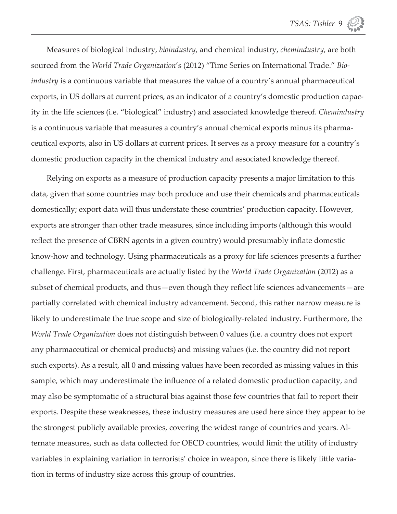Measures of biological industry, *bioindustry*, and chemical industry, *chemindustry*, are both sourced from the *World Trade Organization*'s (2012) "Time Series on International Trade." *Bioindustry* is a continuous variable that measures the value of a country's annual pharmaceutical exports, in US dollars at current prices, as an indicator of a country's domestic production capacity in the life sciences (i.e. "biological" industry) and associated knowledge thereof. *Chemindustry* is a continuous variable that measures a country's annual chemical exports minus its pharmaceutical exports, also in US dollars at current prices. It serves as a proxy measure for a country's domestic production capacity in the chemical industry and associated knowledge thereof.

Relying on exports as a measure of production capacity presents a major limitation to this data, given that some countries may both produce and use their chemicals and pharmaceuticals domestically; export data will thus understate these countries' production capacity. However, exports are stronger than other trade measures, since including imports (although this would reflect the presence of CBRN agents in a given country) would presumably inflate domestic know-how and technology. Using pharmaceuticals as a proxy for life sciences presents a further challenge. First, pharmaceuticals are actually listed by the *World Trade Organization* (2012) as a subset of chemical products, and thus—even though they reflect life sciences advancements—are partially correlated with chemical industry advancement. Second, this rather narrow measure is likely to underestimate the true scope and size of biologically-related industry. Furthermore, the *World Trade Organization* does not distinguish between 0 values (i.e. a country does not export any pharmaceutical or chemical products) and missing values (i.e. the country did not report such exports). As a result, all 0 and missing values have been recorded as missing values in this sample, which may underestimate the influence of a related domestic production capacity, and may also be symptomatic of a structural bias against those few countries that fail to report their exports. Despite these weaknesses, these industry measures are used here since they appear to be the strongest publicly available proxies, covering the widest range of countries and years. Alternate measures, such as data collected for OECD countries, would limit the utility of industry variables in explaining variation in terrorists' choice in weapon, since there is likely little variation in terms of industry size across this group of countries.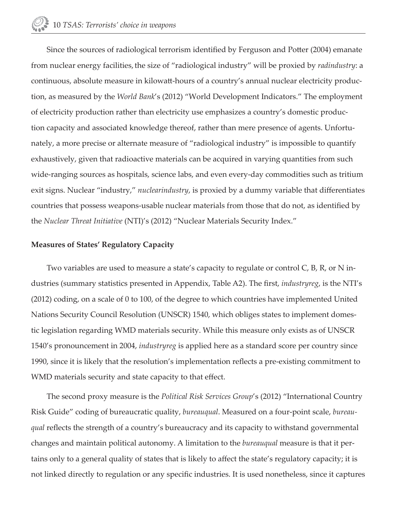Since the sources of radiological terrorism identified by Ferguson and Potter (2004) emanate from nuclear energy facilities, the size of "radiological industry" will be proxied by *radindustry*: a continuous, absolute measure in kilowatt -hours of a country's annual nuclear electricity production, as measured by the *World Bank*'s (2012) "World Development Indicators." The employment of electricity production rather than electricity use emphasizes a country's domestic production capacity and associated knowledge thereof, rather than mere presence of agents. Unfortunately, a more precise or alternate measure of "radiological industry" is impossible to quantify exhaustively, given that radioactive materials can be acquired in varying quantities from such wide-ranging sources as hospitals, science labs, and even every-day commodities such as tritium exit signs. Nuclear "industry," *nuclearindustry*, is proxied by a dummy variable that differentiates countries that possess weapons-usable nuclear materials from those that do not, as identified by the *Nuclear Threat Initiative* (NTI)'s (2012) "Nuclear Materials Security Index."

#### **Measures of States' Regulatory Capacity**

Two variables are used to measure a state's capacity to regulate or control C, B, R, or N industries (summary statistics presented in Appendix, Table A2). The first, *industryreg*, is the NTI's (2012) coding, on a scale of 0 to 100, of the degree to which countries have implemented United Nations Security Council Resolution (UNSCR) 1540, which obliges states to implement domestic legislation regarding WMD materials security. While this measure only exists as of UNSCR 1540's pronouncement in 2004, *industryreg* is applied here as a standard score per country since 1990, since it is likely that the resolution's implementation reflects a pre-existing commitment to WMD materials security and state capacity to that effect.

The second proxy measure is the *Political Risk Services Group*'s (2012) "International Country Risk Guide" coding of bureaucratic quality, *bureauqual*. Measured on a four-point scale, *bureauqual* reflects the strength of a country's bureaucracy and its capacity to withstand governmental changes and maintain political autonomy. A limitation to the *bureauqual* measure is that it pertains only to a general quality of states that is likely to affect the state's regulatory capacity; it is not linked directly to regulation or any specific industries. It is used nonetheless, since it captures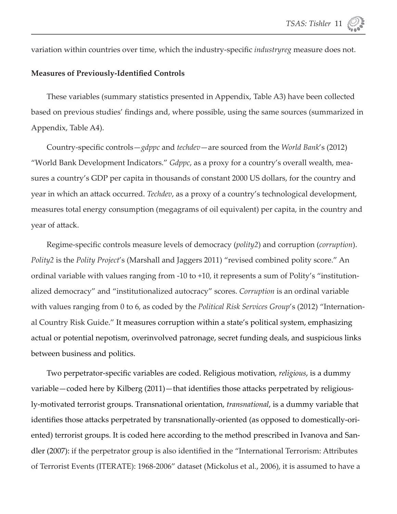variation within countries over time, which the industry-specific *industryreg* measure does not.

#### **Measures of Previously-Identified Controls**

These variables (summary statistics presented in Appendix, Table A3) have been collected based on previous studies' findings and, where possible, using the same sources (summarized in Appendix, Table A4).

Country-specific controls—*gdppc* and *techdev*—are sourced from the *World Bank's* (2012) "World Bank Development Indicators." *Gdppc*, as a proxy for a country's overall wealth, measures a country's GDP per capita in thousands of constant 2000 US dollars, for the country and year in which an attack occurred. *Techdev*, as a proxy of a country's technological development, measures total energy consumption (megagrams of oil equivalent) per capita, in the country and year of attack.

Regime-specific controls measure levels of democracy (*polity2*) and corruption (*corruption*). *Polity2* is the *Polity Project*'s (Marshall and Jaggers 2011) "revised combined polity score." An ordinal variable with values ranging from -10 to +10, it represents a sum of Polity's "institutionalized democracy" and "institutionalized autocracy" scores. *Corruption* is an ordinal variable with values ranging from 0 to 6, as coded by the *Political Risk Services Group*'s (2012) "International Country Risk Guide." It measures corruption within a state's political system, emphasizing actual or potential nepotism, overinvolved patronage, secret funding deals, and suspicious links between business and politics.

Two perpetrator-specific variables are coded. Religious motivation*, religious,* is a dummy variable—coded here by Kilberg (2011)—that identifies those attacks perpetrated by religiously-motivated terrorist groups. Transnational orientation, *transnational*, is a dummy variable that identifies those attacks perpetrated by transnationally-oriented (as opposed to domestically-oriented) terrorist groups. It is coded here according to the method prescribed in Ivanova and Sandler (2007): if the perpetrator group is also identified in the "International Terrorism: Attributes of Terrorist Events (ITERATE): 1968-2006" dataset (Mickolus et al., 2006), it is assumed to have a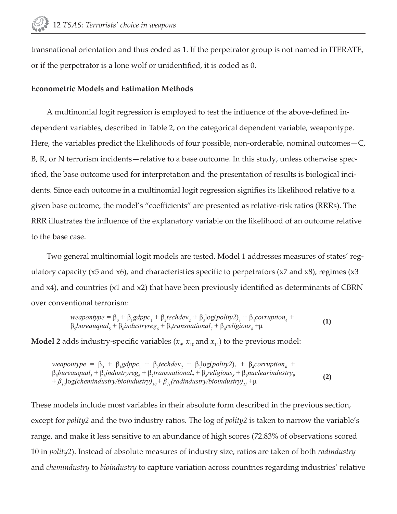transnational orientation and thus coded as 1. If the perpetrator group is not named in ITERATE, or if the perpetrator is a lone wolf or unidentified, it is coded as 0.

#### **Econometric Models and Estimation Methods**

A multinomial logit regression is employed to test the influence of the above-defined independent variables, described in Table 2, on the categorical dependent variable, weapontype. Here, the variables predict the likelihoods of four possible, non-orderable, nominal outcomes—C, B, R, or N terrorism incidents—relative to a base outcome. In this study, unless otherwise specified, the base outcome used for interpretation and the presentation of results is biological incidents. Since each outcome in a multinomial logit regression signifies its likelihood relative to a given base outcome, the model's "coefficients" are presented as relative-risk ratios (RRRs). The RRR illustrates the influence of the explanatory variable on the likelihood of an outcome relative to the base case.

Two general multinomial logit models are tested. Model 1 addresses measures of states' regulatory capacity ( $x5$  and  $x6$ ), and characteristics specific to perpetrators ( $x7$  and  $x8$ ), regimes ( $x3$ and  $x4$ ), and countries ( $x1$  and  $x2$ ) that have been previously identified as determinants of CBRN over conventional terrorism:

*weapontype* = 
$$
\beta_0 + \beta_1 gdppc_1 + \beta_2 techdev_2 + \beta_3 \log(polity2)_3 + \beta_4 corruption_4 + \beta_5 bureauqual_5 + \beta_6 industryreg_6 + \beta_7 transnational_7 + \beta_8 religious_8 + \mu
$$
 (1)

**Model 2** adds industry-specific variables  $(x_{9'}|x_{10})$  and  $x_{11})$  to the previous model:

 $we a point y pe = \beta_0 + \beta_1 g d ppc_1 + \beta_2 tech dev_2 + \beta_3 log( \text{poly2})_3 + \beta_4 \text{corruption}_4 +$  $\beta_5$ *bureauqual*<sub>5</sub> +  $\beta_6$ *industryreg*<sub>6</sub> +  $\beta_7$ *transnational*<sub>7</sub> +  $\beta_8$ *religious*<sub>8</sub> +  $\beta_9$ *nuclearindustry*<sub>9</sub>  $+ \beta_{10} \log(\text{chemindustry/bioindustry})_{10} + \beta_{11}(\text{radindustry/bioindustry})_{11} + \mu$  (2)

These models include most variables in their absolute form described in the previous section, except for *polity2* and the two industry ratios. The log of *polity2* is taken to narrow the variable's range, and make it less sensitive to an abundance of high scores (72.83% of observations scored 10 in *polity2*). Instead of absolute measures of industry size, ratios are taken of both *radindustry*  and *chemindustry* to *bioindustry* to capture variation across countries regarding industries' relative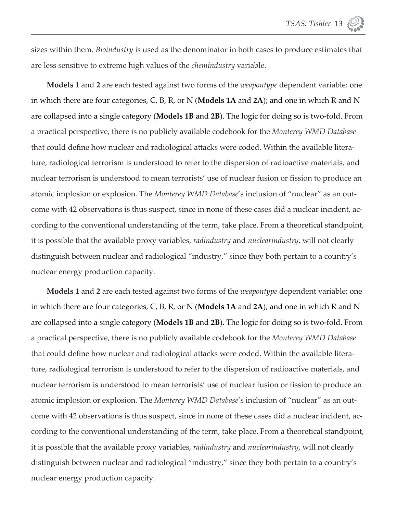sizes within them. *Bioindustry* is used as the denominator in both cases to produce estimates that are less sensitive to extreme high values of the *chemindustry* variable.

**Models 1** and **2** are each tested against two forms of the *weapontype* dependent variable: one in which there are four categories, C, B, R, or N (**Models 1A** and **2A**); and one in which R and N are collapsed into a single category (**Models 1B** and **2B**). The logic for doing so is two-fold. From a practical perspective, there is no publicly available codebook for the *Monterey WMD Database* that could define how nuclear and radiological attacks were coded. Within the available literature, radiological terrorism is understood to refer to the dispersion of radioactive materials, and nuclear terrorism is understood to mean terrorists' use of nuclear fusion or fission to produce an atomic implosion or explosion. The *Monterey WMD Database*'s inclusion of "nuclear" as an outcome with 42 observations is thus suspect, since in none of these cases did a nuclear incident, according to the conventional understanding of the term, take place. From a theoretical standpoint, it is possible that the available proxy variables, *radindustry* and *nuclearindustry*, will not clearly distinguish between nuclear and radiological "industry," since they both pertain to a country's nuclear energy production capacity.

**Models 1** and **2** are each tested against two forms of the *weapontype* dependent variable: one in which there are four categories, C, B, R, or N (**Models 1A** and **2A**); and one in which R and N are collapsed into a single category (**Models 1B** and **2B**). The logic for doing so is two-fold. From a practical perspective, there is no publicly available codebook for the *Monterey WMD Database* that could define how nuclear and radiological attacks were coded. Within the available literature, radiological terrorism is understood to refer to the dispersion of radioactive materials, and nuclear terrorism is understood to mean terrorists' use of nuclear fusion or fission to produce an atomic implosion or explosion. The *Monterey WMD Database*'s inclusion of "nuclear" as an outcome with 42 observations is thus suspect, since in none of these cases did a nuclear incident, according to the conventional understanding of the term, take place. From a theoretical standpoint, it is possible that the available proxy variables, *radindustry* and *nuclearindustry*, will not clearly distinguish between nuclear and radiological "industry," since they both pertain to a country's nuclear energy production capacity.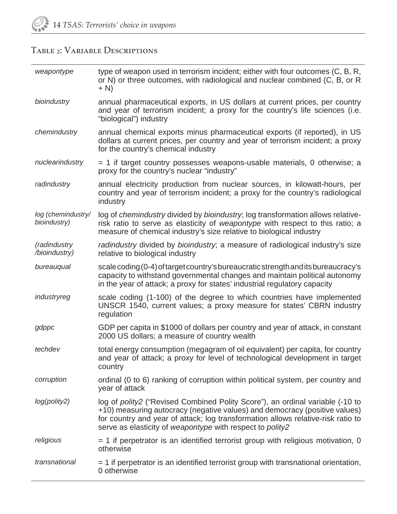## TABLE 2: VARIABLE DESCRIPTIONS

| weapontype                         | type of weapon used in terrorism incident; either with four outcomes (C, B, R,<br>or N) or three outcomes, with radiological and nuclear combined (C, B, or R<br>$+ N$                                                                                                                                              |
|------------------------------------|---------------------------------------------------------------------------------------------------------------------------------------------------------------------------------------------------------------------------------------------------------------------------------------------------------------------|
| bioindustry                        | annual pharmaceutical exports, in US dollars at current prices, per country<br>and year of terrorism incident; a proxy for the country's life sciences (i.e.<br>"biological") industry                                                                                                                              |
| chemindustry                       | annual chemical exports minus pharmaceutical exports (if reported), in US<br>dollars at current prices, per country and year of terrorism incident; a proxy<br>for the country's chemical industry                                                                                                                  |
| nuclearindustry                    | $=$ 1 if target country possesses weapons-usable materials, 0 otherwise; a<br>proxy for the country's nuclear "industry"                                                                                                                                                                                            |
| radindustry                        | annual electricity production from nuclear sources, in kilowatt-hours, per<br>country and year of terrorism incident; a proxy for the country's radiological<br>industry                                                                                                                                            |
| log (chemindustry/<br>bioindustry) | log of chemindustry divided by bioindustry; log transformation allows relative-<br>risk ratio to serve as elasticity of weapontype with respect to this ratio; a<br>measure of chemical industry's size relative to biological industry                                                                             |
| (radindustry<br>/bioindustry)      | radindustry divided by bioindustry; a measure of radiological industry's size<br>relative to biological industry                                                                                                                                                                                                    |
| bureauqual                         | scale coding (0-4) of target country's bureaucratic strength and its bureaucracy's<br>capacity to withstand governmental changes and maintain political autonomy<br>in the year of attack; a proxy for states' industrial regulatory capacity                                                                       |
| industryreg                        | scale coding (1-100) of the degree to which countries have implemented<br>UNSCR 1540, current values; a proxy measure for states' CBRN industry<br>regulation                                                                                                                                                       |
| gdppc                              | GDP per capita in \$1000 of dollars per country and year of attack, in constant<br>2000 US dollars; a measure of country wealth                                                                                                                                                                                     |
| techdev                            | total energy consumption (megagram of oil equivalent) per capita, for country<br>and year of attack; a proxy for level of technological development in target<br>country                                                                                                                                            |
| corruption                         | ordinal (0 to 6) ranking of corruption within political system, per country and<br>year of attack                                                                                                                                                                                                                   |
| log(polity2)                       | log of <i>polity2</i> ("Revised Combined Polity Score"), an ordinal variable (-10 to<br>+10) measuring autocracy (negative values) and democracy (positive values)<br>for country and year of attack; log transformation allows relative-risk ratio to<br>serve as elasticity of weapontype with respect to polity2 |
| religious                          | $=$ 1 if perpetrator is an identified terrorist group with religious motivation, 0<br>otherwise                                                                                                                                                                                                                     |
| transnational                      | $=$ 1 if perpetrator is an identified terrorist group with transnational orientation,<br>0 otherwise                                                                                                                                                                                                                |
|                                    |                                                                                                                                                                                                                                                                                                                     |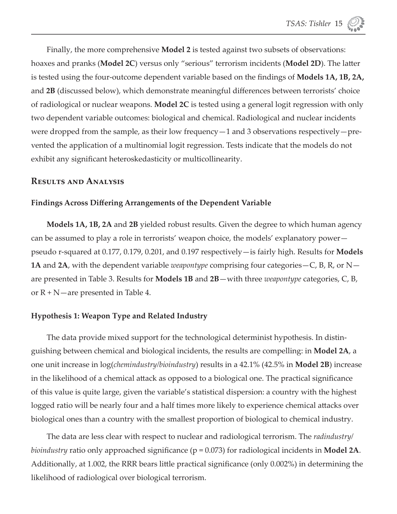Finally, the more comprehensive **Model 2** is tested against two subsets of observations: hoaxes and pranks (**Model 2C**) versus only "serious" terrorism incidents (**Model 2D**). The latter is tested using the four-outcome dependent variable based on the findings of **Models 1A, 1B, 2A,** and 2B (discussed below), which demonstrate meaningful differences between terrorists' choice of radiological or nuclear weapons. **Model 2C** is tested using a general logit regression with only two dependent variable outcomes: biological and chemical. Radiological and nuclear incidents were dropped from the sample, as their low frequency—1 and 3 observations respectively—prevented the application of a multinomial logit regression. Tests indicate that the models do not exhibit any significant heteroskedasticity or multicollinearity.

#### **Results and Analysis**

#### **Findings Across Diff ering Arrangements of the Dependent Variable**

**Models 1A, 1B, 2A** and **2B** yielded robust results. Given the degree to which human agency can be assumed to play a role in terrorists' weapon choice, the models' explanatory power pseudo r-squared at 0.177, 0.179, 0.201, and 0.197 respectively—is fairly high. Results for **Models 1A** and **2A**, with the dependent variable *weapontype* comprising four categories—C, B, R, or N are presented in Table 3. Results for **Models 1B** and **2B**—with three *weapontype* categories, C, B, or  $R + N$ —are presented in Table 4.

#### **Hypothesis 1: Weapon Type and Related Industry**

The data provide mixed support for the technological determinist hypothesis. In distinguishing between chemical and biological incidents, the results are compelling: in **Model 2A**, a one unit increase in log(*chemindustry/bioindustry*) results in a 42.1% (42.5% in **Model 2B**) increase in the likelihood of a chemical attack as opposed to a biological one. The practical significance of this value is quite large, given the variable's statistical dispersion: a country with the highest logged ratio will be nearly four and a half times more likely to experience chemical attacks over biological ones than a country with the smallest proportion of biological to chemical industry.

The data are less clear with respect to nuclear and radiological terrorism. The *radindustry/ bioindustry* ratio only approached significance (p = 0.073) for radiological incidents in **Model 2A**. Additionally, at 1.002, the RRR bears little practical significance (only 0.002%) in determining the likelihood of radiological over biological terrorism.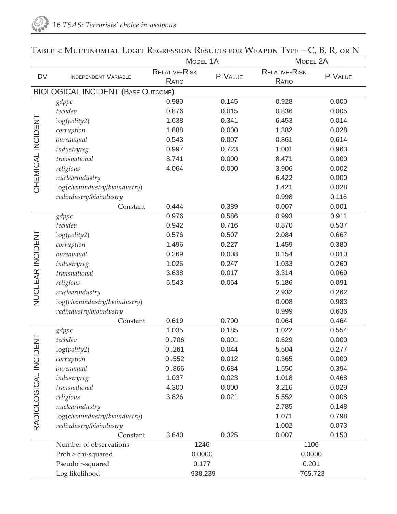|                     |                                           | MODEL 1A                      |         | MODEL 2A                      |         |  |
|---------------------|-------------------------------------------|-------------------------------|---------|-------------------------------|---------|--|
| <b>DV</b>           | INDEPENDENT VARIABLE                      | <b>RELATIVE-RISK</b><br>RATIO | P-VALUE | <b>RELATIVE-RISK</b><br>RATIO | P-VALUE |  |
|                     | <b>BIOLOGICAL INCIDENT (BASE OUTCOME)</b> |                               |         |                               |         |  |
|                     | gdppc                                     | 0.980                         | 0.145   | 0.928                         | 0.000   |  |
|                     | techdev                                   | 0.876                         | 0.015   | 0.836                         | 0.005   |  |
|                     | log(polity2)                              | 1.638                         | 0.341   | 6.453                         | 0.014   |  |
|                     | corruption                                | 1.888                         | 0.000   | 1.382                         | 0.028   |  |
|                     | bureauqual                                | 0.543                         | 0.007   | 0.861                         | 0.614   |  |
|                     | industryreg                               | 0.997                         | 0.723   | 1.001                         | 0.963   |  |
| CHEMICAL INCIDENT   | transnational                             | 8.741                         | 0.000   | 8.471                         | 0.000   |  |
|                     | religious                                 | 4.064                         | 0.000   | 3.906                         | 0.002   |  |
|                     | nuclearindustry                           |                               |         | 6.422                         | 0.000   |  |
|                     | log(chemindustry/bioindustry)             |                               |         | 1.421                         | 0.028   |  |
|                     | radindustry/bioindustry                   |                               |         | 0.998                         | 0.116   |  |
|                     | Constant                                  | 0.444                         | 0.389   | 0.007                         | 0.001   |  |
|                     | gdppc                                     | 0.976                         | 0.586   | 0.993                         | 0.911   |  |
|                     | techdev                                   | 0.942                         | 0.716   | 0.870                         | 0.537   |  |
|                     | log(polity2)                              | 0.576                         | 0.507   | 2.084                         | 0.667   |  |
| NUCLEAR INCIDENT    | corruption                                | 1.496                         | 0.227   | 1.459                         | 0.380   |  |
|                     | bureauqual                                | 0.269                         | 0.008   | 0.154                         | 0.010   |  |
|                     | industryreg                               | 1.026                         | 0.247   | 1.033                         | 0.260   |  |
|                     | transnational                             | 3.638                         | 0.017   | 3.314                         | 0.069   |  |
|                     | religious                                 | 5.543                         | 0.054   | 5.186                         | 0.091   |  |
|                     | nuclearindustry                           |                               |         | 2.932                         | 0.262   |  |
|                     | log(chemindustry/bioindustry)             |                               |         | 0.008                         | 0.983   |  |
|                     | radindustry/bioindustry                   |                               |         | 0.999                         | 0.636   |  |
|                     | Constant                                  | 0.619                         | 0.790   | 0.064                         | 0.464   |  |
|                     | gdppc                                     | 1.035                         | 0.185   | 1.022                         | 0.554   |  |
| Ξ                   | techdev                                   | 0.706                         | 0.001   | 0.629                         | 0.000   |  |
|                     | log(polity2)                              | 0.261                         | 0.044   | 5.504                         | 0.277   |  |
| RADIOLOGICAL INCIDE | corruption                                | 0.552                         | 0.012   | 0.365                         | 0.000   |  |
|                     | bureauqual                                | 0.866                         | 0.684   | 1.550                         | 0.394   |  |
|                     | industryreg                               | 1.037                         | 0.023   | 1.018                         | 0.468   |  |
|                     | transnational                             | 4.300                         | 0.000   | 3.216                         | 0.029   |  |
|                     | religious                                 | 3.826                         | 0.021   | 5.552                         | 0.008   |  |
|                     | nuclearindustry                           |                               |         | 2.785                         | 0.148   |  |
|                     | log(chemindustry/bioindustry)             |                               |         | 1.071                         | 0.798   |  |
|                     | radindustry/bioindustry                   |                               |         | 1.002                         | 0.073   |  |
|                     | Constant                                  | 3.640                         | 0.325   | 0.007                         | 0.150   |  |
|                     | Number of observations                    | 1246                          |         | 1106                          |         |  |
|                     | Prob > chi-squared                        | 0.0000                        |         | 0.0000                        |         |  |
|                     | Pseudo r-squared                          |                               | 0.177   |                               | 0.201   |  |
|                     | Log likelihood                            | $-938.239$                    |         | $-765.723$                    |         |  |

# Table 3: Multinomial Logit Regression Results for Weapon Type – C, B, R, or N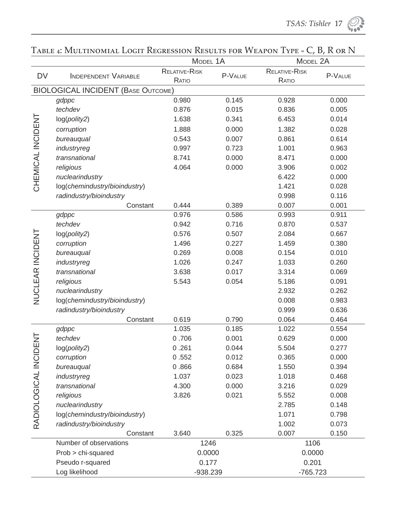|                       |                                           | MODEL 1A               |         | MODEL 2A               |         |
|-----------------------|-------------------------------------------|------------------------|---------|------------------------|---------|
| <b>DV</b>             | INDEPENDENT VARIABLE                      | RELATIVE-RISK<br>RATIO | P-VALUE | RELATIVE-RISK<br>RATIO | P-VALUE |
|                       | <b>BIOLOGICAL INCIDENT (BASE OUTCOME)</b> |                        |         |                        |         |
|                       | gdppc                                     | 0.980                  | 0.145   | 0.928                  | 0.000   |
|                       | techdev                                   | 0.876                  | 0.015   | 0.836                  | 0.005   |
|                       | log(polity2)                              | 1.638                  | 0.341   | 6.453                  | 0.014   |
|                       | corruption                                | 1.888                  | 0.000   | 1.382                  | 0.028   |
|                       | bureauqual                                | 0.543                  | 0.007   | 0.861                  | 0.614   |
|                       | industryreg                               | 0.997                  | 0.723   | 1.001                  | 0.963   |
| CHEMICAL INCIDENT     | transnational                             | 8.741                  | 0.000   | 8.471                  | 0.000   |
|                       | religious                                 | 4.064                  | 0.000   | 3.906                  | 0.002   |
|                       | nuclearindustry                           |                        |         | 6.422                  | 0.000   |
|                       | log(chemindustry/bioindustry)             |                        |         | 1.421                  | 0.028   |
|                       | radindustry/bioindustry                   |                        |         | 0.998                  | 0.116   |
|                       | Constant                                  | 0.444                  | 0.389   | 0.007                  | 0.001   |
|                       | gdppc                                     | 0.976                  | 0.586   | 0.993                  | 0.911   |
|                       | techdev                                   | 0.942                  | 0.716   | 0.870                  | 0.537   |
|                       | log(polity2)                              | 0.576                  | 0.507   | 2.084                  | 0.667   |
| NUCLEAR INCIDENT      | corruption                                | 1.496                  | 0.227   | 1.459                  | 0.380   |
|                       | bureauqual                                | 0.269                  | 0.008   | 0.154                  | 0.010   |
|                       | industryreg                               | 1.026                  | 0.247   | 1.033                  | 0.260   |
|                       | transnational                             | 3.638                  | 0.017   | 3.314                  | 0.069   |
|                       | religious                                 | 5.543                  | 0.054   | 5.186                  | 0.091   |
|                       | nuclearindustry                           |                        |         | 2.932                  | 0.262   |
|                       | log(chemindustry/bioindustry)             |                        |         | 0.008                  | 0.983   |
|                       | radindustry/bioindustry                   |                        |         | 0.999                  | 0.636   |
|                       | Constant                                  | 0.619                  | 0.790   | 0.064                  | 0.464   |
|                       | gdppc                                     | 1.035                  | 0.185   | 1.022                  | 0.554   |
|                       | techdev                                   | 0.706                  | 0.001   | 0.629                  | 0.000   |
|                       | log(polity2)                              | 0.261                  | 0.044   | 5.504                  | 0.277   |
|                       | corruption                                | 0.552                  | 0.012   | 0.365                  | 0.000   |
| RADIOLOGICAL INCIDENT | bureauqual                                | 0.866                  | 0.684   | 1.550                  | 0.394   |
|                       | industryreg                               | 1.037                  | 0.023   | 1.018                  | 0.468   |
|                       | transnational                             | 4.300                  | 0.000   | 3.216                  | 0.029   |
|                       | religious                                 | 3.826                  | 0.021   | 5.552                  | 0.008   |
|                       | nuclearindustry                           |                        |         | 2.785                  | 0.148   |
|                       | log(chemindustry/bioindustry)             |                        |         | 1.071                  | 0.798   |
|                       | radindustry/bioindustry                   |                        |         | 1.002                  | 0.073   |
|                       | Constant                                  | 3.640                  | 0.325   | 0.007                  | 0.150   |
|                       | Number of observations                    | 1246                   |         | 1106<br>0.0000         |         |
|                       | Prob > chi-squared                        | 0.0000                 |         |                        |         |
|                       | Pseudo r-squared                          | 0.177                  |         | 0.201                  |         |
|                       | Log likelihood                            | -938.239               |         | $-765.723$             |         |

### TABLE 4: MULTINOMIAL LOGIT REGRESSION RESULTS FOR WEAPON TYPE = C, B, R OR N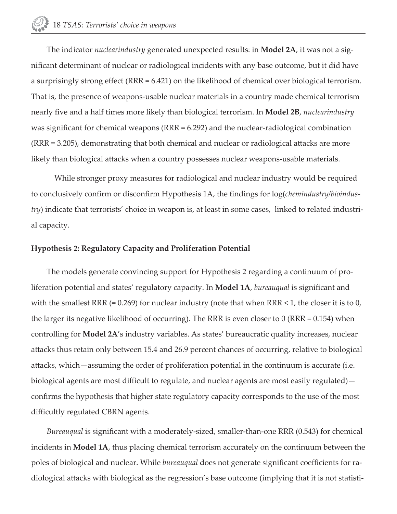The indicator *nuclearindustry* generated unexpected results: in **Model 2A**, it was not a significant determinant of nuclear or radiological incidents with any base outcome, but it did have a surprisingly strong effect (RRR = 6.421) on the likelihood of chemical over biological terrorism. That is, the presence of weapons-usable nuclear materials in a country made chemical terrorism nearly fi ve and a half times more likely than biological terrorism. In **Model 2B**, *nuclearindustry* was significant for chemical weapons ( $RRR = 6.292$ ) and the nuclear-radiological combination (RRR = 3.205), demonstrating that both chemical and nuclear or radiological attacks are more likely than biological attacks when a country possesses nuclear weapons-usable materials.

 While stronger proxy measures for radiological and nuclear industry would be required to conclusively confirm or disconfirm Hypothesis 1A, the findings for log(*chemindustry/bioindustry*) indicate that terrorists' choice in weapon is, at least in some cases, linked to related industrial capacity.

#### **Hypothesis 2: Regulatory Capacity and Proliferation Potential**

The models generate convincing support for Hypothesis 2 regarding a continuum of proliferation potential and states' regulatory capacity. In **Model 1A**, *bureauqual* is significant and with the smallest RRR  $(= 0.269)$  for nuclear industry (note that when RRR  $\leq 1$ , the closer it is to 0, the larger its negative likelihood of occurring). The RRR is even closer to 0 (RRR = 0.154) when controlling for **Model 2A**'s industry variables. As states' bureaucratic quality increases, nuclear attacks thus retain only between 15.4 and 26.9 percent chances of occurring, relative to biological attacks, which—assuming the order of proliferation potential in the continuum is accurate (i.e. biological agents are most difficult to regulate, and nuclear agents are most easily regulated) confirms the hypothesis that higher state regulatory capacity corresponds to the use of the most difficultly regulated CBRN agents.

*Bureauqual* is significant with a moderately-sized, smaller-than-one RRR (0.543) for chemical incidents in **Model 1A**, thus placing chemical terrorism accurately on the continuum between the poles of biological and nuclear. While *bureauqual* does not generate significant coefficients for radiological attacks with biological as the regression's base outcome (implying that it is not statisti-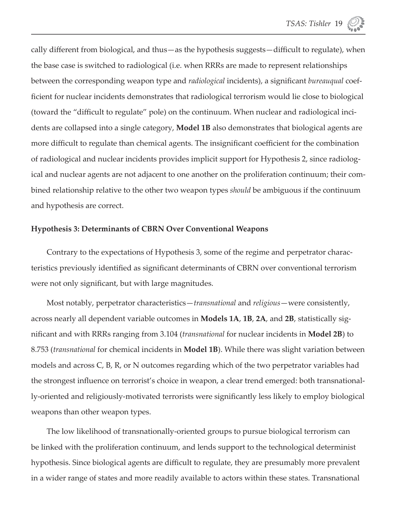cally different from biological, and thus—as the hypothesis suggests—difficult to regulate), when the base case is switched to radiological (i.e. when RRRs are made to represent relationships between the corresponding weapon type and *radiological* incidents), a significant *bureauqual* coefficient for nuclear incidents demonstrates that radiological terrorism would lie close to biological (toward the "difficult to regulate" pole) on the continuum. When nuclear and radiological incidents are collapsed into a single category, **Model 1B** also demonstrates that biological agents are more difficult to regulate than chemical agents. The insignificant coefficient for the combination of radiological and nuclear incidents provides implicit support for Hypothesis 2, since radiological and nuclear agents are not adjacent to one another on the proliferation continuum; their combined relationship relative to the other two weapon types *should* be ambiguous if the continuum and hypothesis are correct.

#### **Hypothesis 3: Determinants of CBRN Over Conventional Weapons**

Contrary to the expectations of Hypothesis 3, some of the regime and perpetrator characteristics previously identified as significant determinants of CBRN over conventional terrorism were not only significant, but with large magnitudes.

Most notably, perpetrator characteristics—*transnational* and *religious*—were consistently, across nearly all dependent variable outcomes in **Models 1A**, **1B**, **2A**, and **2B**, statistically signifi cant and with RRRs ranging from 3.104 (*transnational* for nuclear incidents in **Model 2B**) to 8.753 (*transnational* for chemical incidents in **Model 1B**). While there was slight variation between models and across C, B, R, or N outcomes regarding which of the two perpetrator variables had the strongest influence on terrorist's choice in weapon, a clear trend emerged: both transnationally-oriented and religiously-motivated terrorists were significantly less likely to employ biological weapons than other weapon types.

The low likelihood of transnationally-oriented groups to pursue biological terrorism can be linked with the proliferation continuum, and lends support to the technological determinist hypothesis. Since biological agents are difficult to regulate, they are presumably more prevalent in a wider range of states and more readily available to actors within these states. Transnational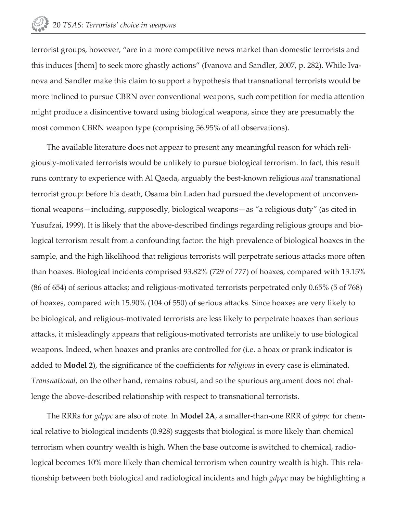terrorist groups, however, "are in a more competitive news market than domestic terrorists and this induces [them] to seek more ghastly actions" (Ivanova and Sandler, 2007, p. 282). While Ivanova and Sandler make this claim to support a hypothesis that transnational terrorists would be more inclined to pursue CBRN over conventional weapons, such competition for media attention might produce a disincentive toward using biological weapons, since they are presumably the most common CBRN weapon type (comprising 56.95% of all observations).

The available literature does not appear to present any meaningful reason for which religiously-motivated terrorists would be unlikely to pursue biological terrorism. In fact, this result runs contrary to experience with Al Qaeda, arguably the best-known religious *and* transnational terrorist group: before his death, Osama bin Laden had pursued the development of unconventional weapons—including, supposedly, biological weapons—as "a religious duty" (as cited in Yusufzai, 1999). It is likely that the above-described findings regarding religious groups and biological terrorism result from a confounding factor: the high prevalence of biological hoaxes in the sample, and the high likelihood that religious terrorists will perpetrate serious attacks more often than hoaxes. Biological incidents comprised 93.82% (729 of 777) of hoaxes, compared with 13.15% (86 of 654) of serious attacks; and religious-motivated terrorists perpetrated only  $0.65\%$  (5 of 768) of hoaxes, compared with 15.90% (104 of 550) of serious attacks. Since hoaxes are very likely to be biological, and religious-motivated terrorists are less likely to perpetrate hoaxes than serious attacks, it misleadingly appears that religious-motivated terrorists are unlikely to use biological weapons. Indeed, when hoaxes and pranks are controlled for (i.e. a hoax or prank indicator is added to **Model 2**), the significance of the coefficients for *religious* in every case is eliminated. *Transnational*, on the other hand, remains robust, and so the spurious argument does not challenge the above-described relationship with respect to transnational terrorists.

The RRRs for *gdppc* are also of note. In **Model 2A**, a smaller-than-one RRR of *gdppc* for chemical relative to biological incidents (0.928) suggests that biological is more likely than chemical terrorism when country wealth is high. When the base outcome is switched to chemical, radiological becomes 10% more likely than chemical terrorism when country wealth is high. This relationship between both biological and radiological incidents and high *gdppc* may be highlighting a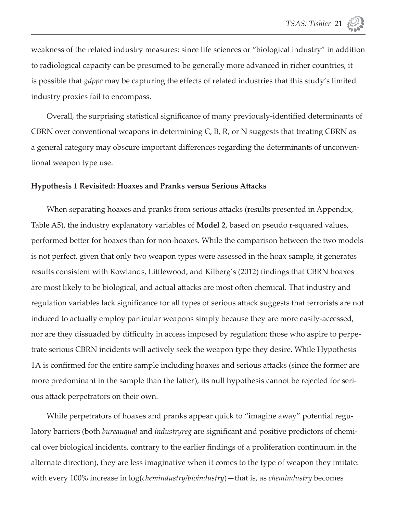weakness of the related industry measures: since life sciences or "biological industry" in addition to radiological capacity can be presumed to be generally more advanced in richer countries, it is possible that *gdppc* may be capturing the effects of related industries that this study's limited industry proxies fail to encompass.

Overall, the surprising statistical significance of many previously-identified determinants of CBRN over conventional weapons in determining C, B, R, or N suggests that treating CBRN as a general category may obscure important differences regarding the determinants of unconventional weapon type use.

#### **Hypothesis 1 Revisited: Hoaxes and Pranks versus Serious Att acks**

When separating hoaxes and pranks from serious attacks (results presented in Appendix, Table A5), the industry explanatory variables of **Model 2**, based on pseudo r-squared values, performed better for hoaxes than for non-hoaxes. While the comparison between the two models is not perfect, given that only two weapon types were assessed in the hoax sample, it generates results consistent with Rowlands, Littlewood, and Kilberg's (2012) findings that CBRN hoaxes are most likely to be biological, and actual attacks are most often chemical. That industry and regulation variables lack significance for all types of serious attack suggests that terrorists are not induced to actually employ particular weapons simply because they are more easily-accessed, nor are they dissuaded by difficulty in access imposed by regulation: those who aspire to perpetrate serious CBRN incidents will actively seek the weapon type they desire. While Hypothesis 1A is confirmed for the entire sample including hoaxes and serious attacks (since the former are more predominant in the sample than the latter), its null hypothesis cannot be rejected for serious attack perpetrators on their own.

While perpetrators of hoaxes and pranks appear quick to "imagine away" potential regulatory barriers (both *bureauqual* and *industryreg* are significant and positive predictors of chemical over biological incidents, contrary to the earlier findings of a proliferation continuum in the alternate direction), they are less imaginative when it comes to the type of weapon they imitate: with every 100% increase in log(*chemindustry/bioindustry*)—that is, as *chemindustry* becomes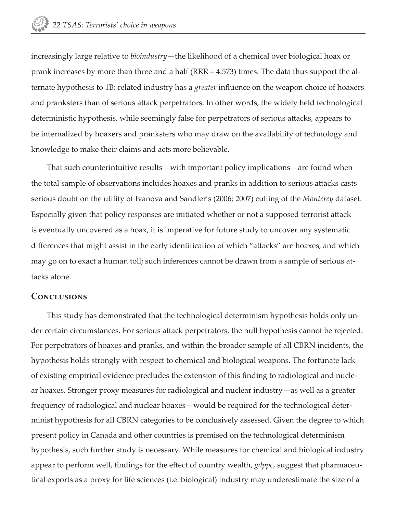increasingly large relative to *bioindustry*—the likelihood of a chemical over biological hoax or prank increases by more than three and a half (RRR = 4.573) times. The data thus support the alternate hypothesis to 1B: related industry has a *greater* influence on the weapon choice of hoaxers and pranksters than of serious attack perpetrators. In other words, the widely held technological deterministic hypothesis, while seemingly false for perpetrators of serious attacks, appears to be internalized by hoaxers and pranksters who may draw on the availability of technology and knowledge to make their claims and acts more believable.

That such counterintuitive results—with important policy implications—are found when the total sample of observations includes hoaxes and pranks in addition to serious attacks casts serious doubt on the utility of Ivanova and Sandler's (2006; 2007) culling of the *Monterey* dataset. Especially given that policy responses are initiated whether or not a supposed terrorist attack is eventually uncovered as a hoax, it is imperative for future study to uncover any systematic differences that might assist in the early identification of which "attacks" are hoaxes, and which may go on to exact a human toll; such inferences cannot be drawn from a sample of serious attacks alone.

#### **Conclusions**

This study has demonstrated that the technological determinism hypothesis holds only under certain circumstances. For serious attack perpetrators, the null hypothesis cannot be rejected. For perpetrators of hoaxes and pranks, and within the broader sample of all CBRN incidents, the hypothesis holds strongly with respect to chemical and biological weapons. The fortunate lack of existing empirical evidence precludes the extension of this finding to radiological and nuclear hoaxes. Stronger proxy measures for radiological and nuclear industry—as well as a greater frequency of radiological and nuclear hoaxes—would be required for the technological determinist hypothesis for all CBRN categories to be conclusively assessed. Given the degree to which present policy in Canada and other countries is premised on the technological determinism hypothesis, such further study is necessary. While measures for chemical and biological industry appear to perform well, findings for the effect of country wealth, *gdppc*, suggest that pharmaceutical exports as a proxy for life sciences (i.e. biological) industry may underestimate the size of a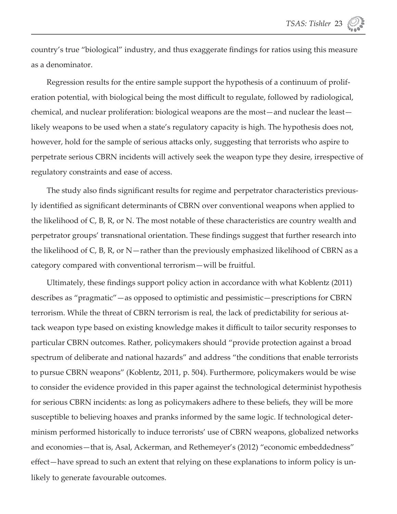country's true "biological" industry, and thus exaggerate findings for ratios using this measure as a denominator.

Regression results for the entire sample support the hypothesis of a continuum of proliferation potential, with biological being the most difficult to regulate, followed by radiological, chemical, and nuclear proliferation: biological weapons are the most—and nuclear the least likely weapons to be used when a state's regulatory capacity is high. The hypothesis does not, however, hold for the sample of serious attacks only, suggesting that terrorists who aspire to perpetrate serious CBRN incidents will actively seek the weapon type they desire, irrespective of regulatory constraints and ease of access.

The study also finds significant results for regime and perpetrator characteristics previously identified as significant determinants of CBRN over conventional weapons when applied to the likelihood of C, B, R, or N. The most notable of these characteristics are country wealth and perpetrator groups' transnational orientation. These findings suggest that further research into the likelihood of C, B, R, or N—rather than the previously emphasized likelihood of CBRN as a category compared with conventional terrorism—will be fruitful.

Ultimately, these findings support policy action in accordance with what Koblentz (2011) describes as "pragmatic"—as opposed to optimistic and pessimistic—prescriptions for CBRN terrorism. While the threat of CBRN terrorism is real, the lack of predictability for serious attack weapon type based on existing knowledge makes it difficult to tailor security responses to particular CBRN outcomes. Rather, policymakers should "provide protection against a broad spectrum of deliberate and national hazards" and address "the conditions that enable terrorists to pursue CBRN weapons" (Koblentz, 2011, p. 504). Furthermore, policymakers would be wise to consider the evidence provided in this paper against the technological determinist hypothesis for serious CBRN incidents: as long as policymakers adhere to these beliefs, they will be more susceptible to believing hoaxes and pranks informed by the same logic. If technological determinism performed historically to induce terrorists' use of CBRN weapons, globalized networks and economies—that is, Asal, Ackerman, and Rethemeyer's (2012) "economic embeddedness" effect—have spread to such an extent that relying on these explanations to inform policy is unlikely to generate favourable outcomes.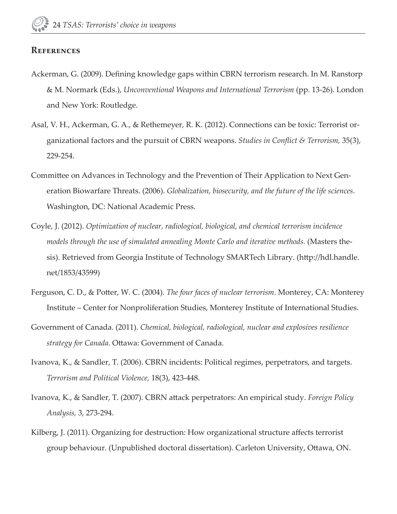#### **References**

- Ackerman, G. (2009). Defining knowledge gaps within CBRN terrorism research. In M. Ranstorp & M. Normark (Eds.), *Unconventional Weapons and International Terrorism* (pp. 13-26). London and New York: Routledge.
- Asal, V. H., Ackerman, G. A., & Rethemeyer, R. K. (2012). Connections can be toxic: Terrorist organizational factors and the pursuit of CBRN weapons. *Studies in Conflict & Terrorism*, 35(3), 229-254.
- Committee on Advances in Technology and the Prevention of Their Application to Next Generation Biowarfare Threats. (2006). *Globalization, biosecurity, and the future of the life sciences*. Washington, DC: National Academic Press.
- Coyle, J. (2012). *Optimization of nuclear, radiological, biological, and chemical terrorism incidence models through the use of simulated annealing Monte Carlo and iterative methods.* (Masters thesis). Retrieved from Georgia Institute of Technology SMARTech Library. (http://hdl.handle. net/1853/43599)
- Ferguson, C. D., & Potter, W. C. (2004). *The four faces of nuclear terrorism*. Monterey, CA: Monterey Institute – Center for Nonproliferation Studies, Monterey Institute of International Studies.
- Government of Canada. (2011). *Chemical, biological, radiological, nuclear and explosives resilience*  strategy for Canada. Ottawa: Government of Canada.
- Ivanova, K., & Sandler, T. (2006). CBRN incidents: Political regimes, perpetrators, and targets. *Terrorism and Political Violence,* 18(3), 423-448.
- Ivanova, K., & Sandler, T. (2007). CBRN attack perpetrators: An empirical study. *Foreign Policy Analysis,* 3, 273-294.
- Kilberg, J. (2011). Organizing for destruction: How organizational structure affects terrorist group behaviour. (Unpublished doctoral dissertation). Carleton University, Ottawa, ON.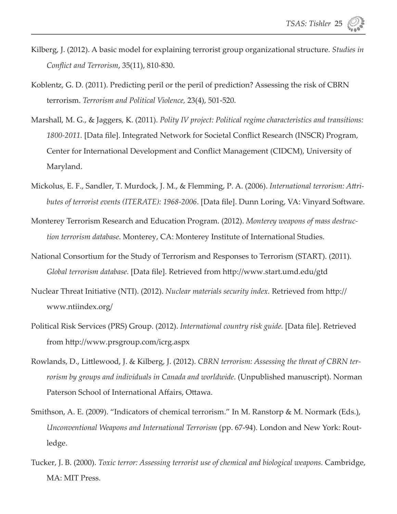- Kilberg, J. (2012). A basic model for explaining terrorist group organizational structure. *Studies in Confl ict and Terrorism*, 35(11), 810-830.
- Koblentz, G. D. (2011). Predicting peril or the peril of prediction? Assessing the risk of CBRN terrorism. *Terrorism and Political Violence,* 23(4), 501-520.
- Marshall, M. G., & Jaggers, K. (2011). *Polity IV project: Political regime characteristics and transitions:*  1800-2011. [Data file]. Integrated Network for Societal Conflict Research (INSCR) Program, Center for International Development and Conflict Management (CIDCM), University of Maryland.
- Mickolus, E. F., Sandler, T. Murdock, J. M., & Flemming, P. A. (2006). *International terrorism: Attributes of terrorist events (ITERATE): 1968-2006.* [Data file]. Dunn Loring, VA: Vinyard Software.
- Monterey Terrorism Research and Education Program. (2012). *Monterey weapons of mass destruction terrorism database*. Monterey, CA: Monterey Institute of International Studies.
- National Consortium for the Study of Terrorism and Responses to Terrorism (START). (2011). *Global terrorism database*. [Data file]. Retrieved from http://www.start.umd.edu/gtd
- Nuclear Threat Initiative (NTI). (2012). *Nuclear materials security index*. Retrieved from http:// www.ntiindex.org/
- Political Risk Services (PRS) Group. (2012). *International country risk guide*. [Data file]. Retrieved from http://www.prsgroup.com/icrg.aspx
- Rowlands, D., Littlewood, J. & Kilberg, J. (2012). *CBRN terrorism: Assessing the threat of CBRN terrorism by groups and individuals in Canada and worldwide*. (Unpublished manuscript). Norman Paterson School of International Affairs, Ottawa.
- Smithson, A. E. (2009). "Indicators of chemical terrorism." In M. Ranstorp & M. Normark (Eds.), *Unconventional Weapons and International Terrorism* (pp. 67-94). London and New York: Routledge.
- Tucker, J. B. (2000). *Toxic terror: Assessing terrorist use of chemical and biological weapons.* Cambridge, MA: MIT Press.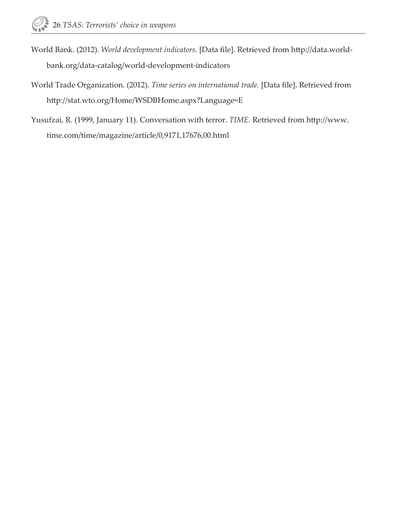- World Bank. (2012). *World development indicators*. [Data file]. Retrieved from http://data.worldbank.org/data-catalog/world-development-indicators
- World Trade Organization. (2012). *Time series on international trade*. [Data file]. Retrieved from http://stat.wto.org/Home/WSDBHome.aspx?Language=E
- Yusufzai, R. (1999, January 11). Conversation with terror. *TIME*. Retrieved from http://www. time.com/time/magazine/article/0,9171,17676,00.html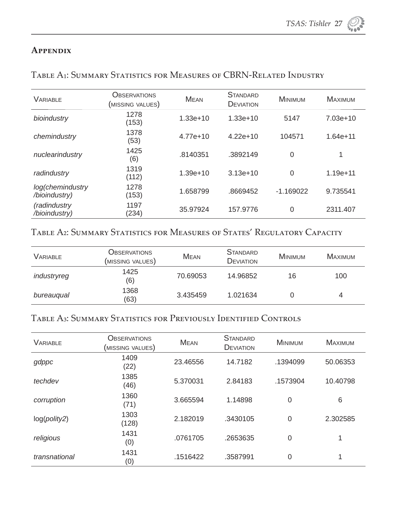#### **Appendix**

| <b>VARIABLE</b>                   | <b>OBSERVATIONS</b><br>(MISSING VALUES) | <b>MEAN</b> | <b>STANDARD</b><br>DEVIATION | <b>MINIMUM</b> | <b>MAXIMUM</b> |
|-----------------------------------|-----------------------------------------|-------------|------------------------------|----------------|----------------|
| bioindustry                       | 1278<br>(153)                           | $1.33e+10$  | $1.33e+10$                   | 5147           | 7.03e+10       |
| chemindustry                      | 1378<br>(53)                            | $4.77e+10$  | $4.22e+10$                   | 104571         | $1.64e + 11$   |
| nuclearindustry                   | 1425<br>(6)                             | .8140351    | .3892149                     | 0              | 1              |
| radindustry                       | 1319<br>(112)                           | $1.39e+10$  | $3.13e+10$                   | 0              | $1.19e + 11$   |
| log(chemindustry<br>/bioindustry) | 1278<br>(153)                           | 1.658799    | .8669452                     | $-1.169022$    | 9.735541       |
| (radindustry<br>/bioindustry)     | 1197<br>(234)                           | 35.97924    | 157.9776                     | 0              | 2311.407       |

#### TABLE A1: SUMMARY STATISTICS FOR MEASURES OF CBRN-RELATED INDUSTRY

### TABLE A2: SUMMARY STATISTICS FOR MEASURES OF STATES' REGULATORY CAPACITY

| VARIABLE    | Observations<br>(MISSING VALUES) | <b>MEAN</b> | STANDARD<br><b>DEVIATION</b> | <b>MINIMUM</b> | MAXIMUM |
|-------------|----------------------------------|-------------|------------------------------|----------------|---------|
| industryreg | 1425<br>(6)                      | 70.69053    | 14.96852                     | 16             | 100     |
| bureauqual  | 1368<br>(63)                     | 3.435459    | 1.021634                     |                |         |

### Table A₃: Summary Statistics for Previously Identified Controls

| <b>VARIABLE</b> | <b>OBSERVATIONS</b><br>(MISSING VALUES) | <b>MEAN</b> | <b>STANDARD</b><br><b>DEVIATION</b> | <b>MINIMUM</b> | <b>MAXIMUM</b> |
|-----------------|-----------------------------------------|-------------|-------------------------------------|----------------|----------------|
| gdppc           | 1409<br>(22)                            | 23.46556    | 14.7182                             | .1394099       | 50.06353       |
| techdev         | 1385<br>(46)                            | 5.370031    | 2.84183                             | .1573904       | 10.40798       |
| corruption      | 1360<br>(71)                            | 3.665594    | 1.14898                             | $\overline{0}$ | 6              |
| log(polity2)    | 1303<br>(128)                           | 2.182019    | .3430105                            | $\overline{0}$ | 2.302585       |
| religious       | 1431<br>(0)                             | .0761705    | .2653635                            | $\mathbf 0$    |                |
| transnational   | 1431<br>(0)                             | .1516422    | .3587991                            | $\overline{0}$ |                |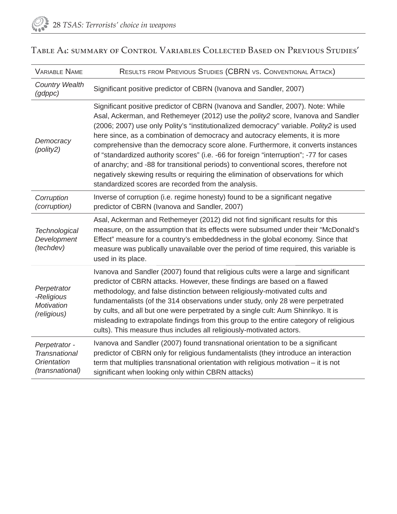| <b>VARIABLE NAME</b>                                                           | RESULTS FROM PREVIOUS STUDIES (CBRN VS. CONVENTIONAL ATTACK)                                                                                                                                                                                                                                                                                                                                                                                                                                                                                                                                                                                                                                                                                                   |
|--------------------------------------------------------------------------------|----------------------------------------------------------------------------------------------------------------------------------------------------------------------------------------------------------------------------------------------------------------------------------------------------------------------------------------------------------------------------------------------------------------------------------------------------------------------------------------------------------------------------------------------------------------------------------------------------------------------------------------------------------------------------------------------------------------------------------------------------------------|
| <b>Country Wealth</b><br>(gdppc)                                               | Significant positive predictor of CBRN (Ivanova and Sandler, 2007)                                                                                                                                                                                                                                                                                                                                                                                                                                                                                                                                                                                                                                                                                             |
| Democracy<br>(polity2)                                                         | Significant positive predictor of CBRN (Ivanova and Sandler, 2007). Note: While<br>Asal, Ackerman, and Rethemeyer (2012) use the polity2 score, Ivanova and Sandler<br>(2006; 2007) use only Polity's "institutionalized democracy" variable. Polity2 is used<br>here since, as a combination of democracy and autocracy elements, it is more<br>comprehensive than the democracy score alone. Furthermore, it converts instances<br>of "standardized authority scores" (i.e. -66 for foreign "interruption"; -77 for cases<br>of anarchy; and -88 for transitional periods) to conventional scores, therefore not<br>negatively skewing results or requiring the elimination of observations for which<br>standardized scores are recorded from the analysis. |
| Corruption<br>(corruption)                                                     | Inverse of corruption (i.e. regime honesty) found to be a significant negative<br>predictor of CBRN (Ivanova and Sandler, 2007)                                                                                                                                                                                                                                                                                                                                                                                                                                                                                                                                                                                                                                |
| <b>Technological</b><br>Development<br>(techdev)                               | Asal, Ackerman and Rethemeyer (2012) did not find significant results for this<br>measure, on the assumption that its effects were subsumed under their "McDonald's<br>Effect" measure for a country's embeddedness in the global economy. Since that<br>measure was publically unavailable over the period of time required, this variable is<br>used in its place.                                                                                                                                                                                                                                                                                                                                                                                           |
| Perpetrator<br>-Religious<br><b>Motivation</b><br>(religious)                  | Ivanova and Sandler (2007) found that religious cults were a large and significant<br>predictor of CBRN attacks. However, these findings are based on a flawed<br>methodology, and false distinction between religiously-motivated cults and<br>fundamentalists (of the 314 observations under study, only 28 were perpetrated<br>by cults, and all but one were perpetrated by a single cult: Aum Shinrikyo. It is<br>misleading to extrapolate findings from this group to the entire category of religious<br>cults). This measure thus includes all religiously-motivated actors.                                                                                                                                                                          |
| Perpetrator -<br><b>Transnational</b><br><b>Orientation</b><br>(transnational) | Ivanova and Sandler (2007) found transnational orientation to be a significant<br>predictor of CBRN only for religious fundamentalists (they introduce an interaction<br>term that multiplies transnational orientation with religious motivation $-$ it is not<br>significant when looking only within CBRN attacks)                                                                                                                                                                                                                                                                                                                                                                                                                                          |

### TABLE A4: SUMMARY OF CONTROL VARIABLES COLLECTED BASED ON PREVIOUS STUDIES'